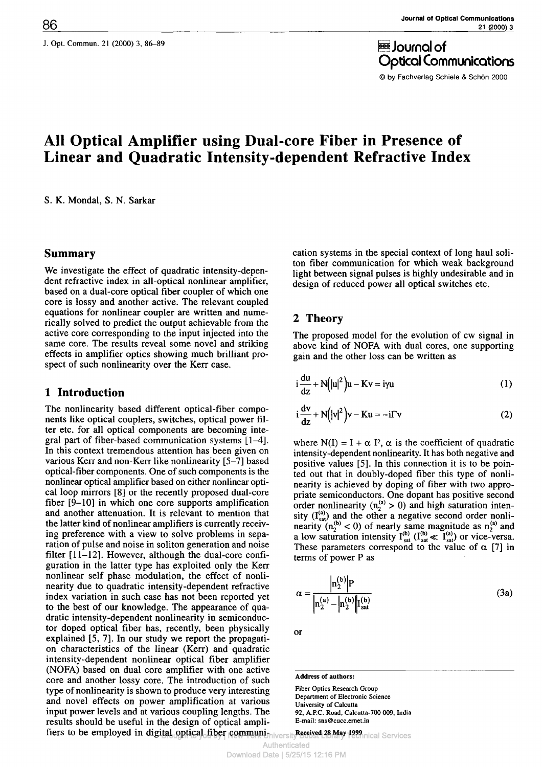J. Opt. Commun. 21 (2000) 3, 86-89  $J$ ournal of

Optical Communications

© by Fachverlag Schiele & Schön 2000

# **All Optical Amplifier using Dual-core Fiber in Presence of Linear and Quadratic Intensity-dependent Refractive Index**

S. K. Mondal, S. N. Sarkar

#### **Summary**

We investigate the effect of quadratic intensity-dependent refractive index in all-optical nonlinear amplifier, based on a dual-core optical fiber coupler of which one core is lossy and another active. The relevant coupled equations for nonlinear coupler are written and numerically solved to predict the output achievable from the active core corresponding to the input injected into the same core. The results reveal some novel and striking effects in amplifier optics showing much brilliant prospect of such nonlinearity over the Kerr case.

## **1 Introduction**

The nonlinearity based different optical-fiber components like optical couplers, switches, optical power filter etc. for all optical components are becoming integral part of fiber-based communication systems [1-4]. In this context tremendous attention has been given on various Kerr and non-Kerr like nonlinearity [5-7] based optical-fiber components. One of such components is the nonlinear optical amplifier based on either nonlinear optical loop mirrors [8] or the recently proposed dual-core fiber [9-10] in which one core supports amplification and another attenuation. It is relevant to mention that the latter kind of nonlinear amplifiers is currently receiving preference with a view to solve problems in separation of pulse and noise in soliton generation and noise filter [11-12]. However, although the dual-core configuration in the latter type has exploited only the Kerr nonlinear self phase modulation, the effect of nonlinearity due to quadratic intensity-dependent refractive index variation in such case has not been reported yet to the best of our knowledge. The appearance of quadratic intensity-dependent nonlinearity in semiconductor doped optical fiber has, recently, been physically explained [5, 7]. In our study we report the propagation characteristics of the linear (Kerr) and quadratic intensity-dependent nonlinear optical fiber amplifier (NOFA) based on dual core amplifier with one active core and another lossy core. The introduction of such type of nonlinearity is shown to produce very interesting and novel effects on power amplification at various input power levels and at various coupling lengths. The results should be useful in the design of optical amplication systems in the special context of long haul soliton fiber communication for which weak background light between signal pulses is highly undesirable and in design of reduced power all optical switches etc.

# **2 Theory**

The proposed model for the evolution of cw signal in above kind of NOFA with dual cores, one supporting gain and the other loss can be written as

$$
i\frac{du}{dz} + N(|u|^2)u - Kv = i\gamma u
$$
 (1)

$$
i\frac{dv}{dz} + N(|v|^2)v - Ku = -i\Gamma v
$$
 (2)

where  $N(I) = I + \alpha I^2$ ,  $\alpha$  is the coefficient of quadratic intensity-dependent nonlinearity. It has both negative and positive values [5]. In this connection it is to be pointed out that in doubly-doped fiber this type of nonlinearity is achieved by doping of fiber with two appropriate semiconductors. One dopant has positive second order nonlinearity ( $n_2^{(a)} > 0$ ) and high saturation intensity  $(I_{sat}^{(a)})$  and the other a negative second order nonlinearity  $(n_2^{(b)} < 0)$  of nearly same magnitude as  $n_2^{(a)}$  and a low saturation intensity  $I^{(b)}_{sat}$  ( $I^{(b)}_{sat} \ll I^{(a)}_{sat}$ ) or vice-versa. These parameters correspond to the value of  $\alpha$  [7] in terms of power P as

$$
\alpha = \frac{\left|n_2^{(b)}\right| P}{\left|n_2^{(a)} - \left|n_2^{(b)}\right|\right| \mathbf{I}_{\text{sat}}^{(b)}}\tag{3a}
$$

or

**Address of authors:**

Fiber Optics Research Group Department of Electronic Science University of Calcutta 92, A.P.C. Road, Calcutta-700 009, India E-mail: sns@cucc.ernet.in

fiers to be employed in digital optical fiber communi<sub>ently Bobst Library 1999</sub> hearings Services

Authenticated Download Date | 5/25/15 12:16 PM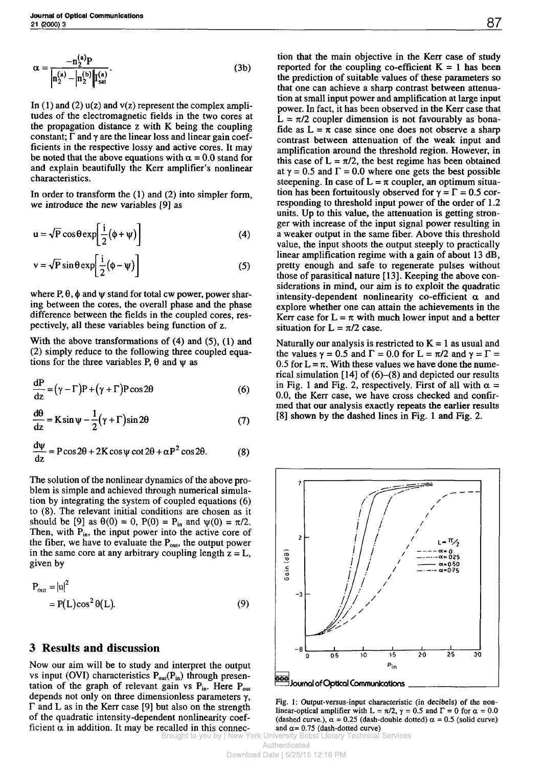$$
\alpha = \frac{-n_2^{(a)}P}{\left|n_2^{(a)} - \left|n_2^{(b)}\right|\right| \mathbf{I}_{\text{sat}}^{(a)}}.
$$
 (3b)

In (1) and (2)  $u(z)$  and  $v(z)$  represent the complex amplitudes of the electromagnetic fields in the two cores at the propagation distance z with K being the coupling constant;  $\Gamma$  and  $\gamma$  are the linear loss and linear gain coefficients in the respective lossy and active cores. It may be noted that the above equations with  $\alpha = 0.0$  stand for and explain beautifully the Kerr amplifier's nonlinear characteristics.

In order to transform the (1) and (2) into simpler form, we introduce the new variables [9] as

$$
u = \sqrt{P} \cos \theta \exp\left[\frac{i}{2}(\phi + \psi)\right]
$$
 (4)

$$
v = \sqrt{P} \sin \theta \exp\left[\frac{i}{2}(\phi - \psi)\right]
$$
 (5)

where  $P, \theta, \phi$  and  $\psi$  stand for total cw power, power sharing between the cores, the overall phase and the phase difference between the fields in the coupled cores, respectively, all these variables being function of z.

With the above transformations of  $(4)$  and  $(5)$ ,  $(1)$  and (2) simply reduce to the following three coupled equations for the three variables  $P$ ,  $\theta$  and  $\psi$  as

$$
\frac{dP}{dz} = (\gamma - \Gamma)P + (\gamma + \Gamma)P\cos 2\theta
$$
 (6)

$$
\frac{d\theta}{dz} = K \sin \psi - \frac{1}{2} (\gamma + \Gamma) \sin 2\theta \tag{7}
$$

$$
\frac{d\psi}{dz} = P\cos 2\theta + 2K\cos\psi\cot 2\theta + \alpha P^2\cos 2\theta.
$$
 (8)

The solution of the nonlinear dynamics of the above problem is simple and achieved through numerical simulation by integrating the system of coupled equations (6) to (8). The relevant initial conditions are chosen as it should be [9] as  $\theta(0) = 0$ ,  $P(0) = P_{in}$  and  $\psi(0) = \pi/2$ . Then, with  $P_{in}$ , the input power into the active core of the fiber, we have to evaluate the  $P_{out}$ , the output power in the same core at any arbitrary coupling length  $z = L$ , given by

$$
P_{out} = |u|^2
$$
  
= P(L)cos<sup>2</sup> θ(L). (9)

### **3 Results and discussion**

Now our aim will be to study and interpret the output vs input (OVI) characteristics  $P_{out}(P_{in})$  through presentation of the graph of relevant gain vs  $P_{in}$ . Here  $P_{out}$ depends not only on three dimensionless parameters  $\gamma$ ,  $\Gamma$  and L as in the Kerr case [9] but also on the strength of the quadratic intensity-dependent nonlinearity coefficient  $\alpha$  in addition. It may be recalled in this connection that the main objective in the Kerr case of study reported for the coupling co-efficient  $K = 1$  has been the prediction of suitable values of these parameters so that one can achieve a sharp contrast between attenuation at small input power and amplification at large input power. In fact, it has been observed in the Kerr case that  $\bar{L} = \pi/2$  coupler dimension is not favourably as bonafide as  $L = \bar{\pi}$  case since one does not observe a sharp contrast between attenuation of the weak input and amplification around the threshold region. However, in this case of  $L = \pi/2$ , the best regime has been obtained at  $\gamma = 0.5$  and  $\Gamma = 0.0$  where one gets the best possible steepening. In case of  $L = \pi$  coupler, an optimum situation has been fortuitously observed for  $\gamma = \Gamma = 0.5$  corresponding to threshold input power of the order of 1.2 units. Up to this value, the attenuation is getting stronger with increase of the input signal power resulting in a weaker output in the same fiber. Above this threshold value, the input shoots the output steeply to practically linear amplification regime with a gain of about 13 dB, pretty enough and safe to regenerate pulses without those of parasitical nature [13]. Keeping the above considerations in mind, our aim is to exploit the quadratic intensity-dependent nonlinearity co-efficient  $\alpha$  and explore whether one can attain the achievements in the Kerr case for  $L = \pi$  with much lower input and a better situation for  $L = \pi/2$  case.

Naturally our analysis is restricted to  $K = 1$  as usual and the values  $\gamma = 0.5$  and  $\Gamma = 0.0$  for  $L = \pi/2$  and  $\gamma = \Gamma =$ 0.5 for  $L = \pi$ . With these values we have done the numerical simulation  $[14]$  of  $(6)$ – $(8)$  and depicted our results in Fig. 1 and Fig. 2, respectively. First of all with  $\alpha =$ 0.0, the Kerr case, we have cross checked and confirmed that our analysis exactly repeats the earlier results [8] shown by the dashed lines in Fig. 1 and Fig. 2.



Fig. 1: Output-versus-input characteristic (in decibels) of the nonlinear-optical amplifier with L =  $\pi/2$ ,  $\gamma = 0.5$  and  $\Gamma = 0$  for  $\alpha = 0.0$ (dashed curve.),  $\alpha = 0.25$  (dash-double dotted)  $\alpha = 0.5$  (solid curve) and  $\alpha$ = 0.75 (dash-dotted curve)<br>iversity Bobst Library Technical Services

Brought to you by | New York University Bobst Library Technic Authenticated

Download Date | 5/25/15 12:16 PM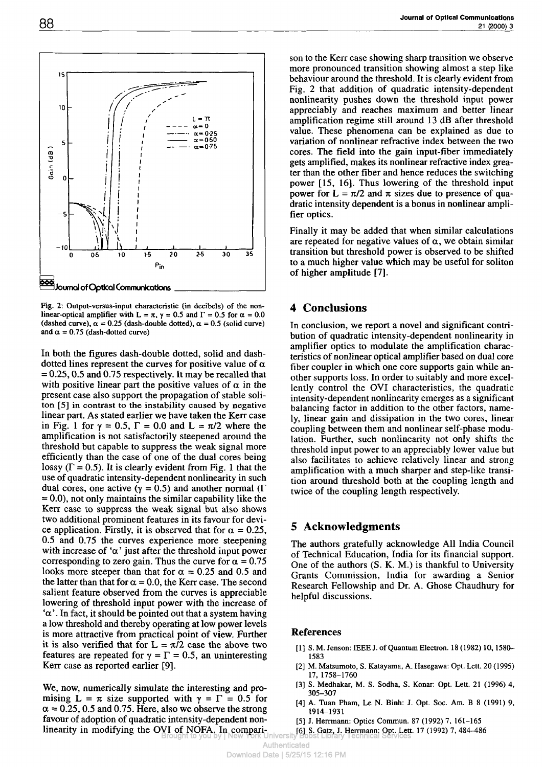

Fig. 2: Output-versus-input characteristic (in decibels) of the nonlinear-optical amplifier with L =  $\pi$ ,  $\gamma$  = 0.5 and  $\Gamma$  = 0.5 for  $\alpha$  = 0.0 (dashed curve),  $\alpha = 0.25$  (dash-double dotted),  $\alpha = 0.5$  (solid curve) and  $\alpha = 0.75$  (dash-dotted curve)

In both the figures dash-double dotted, solid and dashdotted lines represent the curves for positive value of  $\alpha$  $= 0.25, 0.5$  and 0.75 respectively. It may be recalled that with positive linear part the positive values of  $\alpha$  in the present case also support the propagation of stable soliton [5] in contrast to the instability caused by negative linear part. As stated earlier we have taken the Kerr case in Fig. 1 for  $\gamma = 0.5$ ,  $\Gamma = 0.0$  and  $L = \pi/2$  where the amplification is not satisfactorily steepened around the threshold but capable to suppress the weak signal more efficiently than the case of one of the dual cores being lossy  $(\Gamma = 0.5)$ . It is clearly evident from Fig. 1 that the use of quadratic intensity-dependent nonlinearity in such dual cores, one active ( $\gamma = 0.5$ ) and another normal ( $\Gamma$  $= 0.0$ ), not only maintains the similar capability like the Kerr case to suppress the weak signal but also shows two additional prominent features in its favour for device application. Firstly, it is observed that for  $\alpha = 0.25$ , 0.5 and 0.75 the curves experience more steepening with increase of ' $\alpha$ ' just after the threshold input power corresponding to zero gain. Thus the curve for  $\alpha = 0.75$ looks more steeper than that for  $\alpha = 0.25$  and 0.5 and the latter than that for  $\alpha = 0.0$ , the Kerr case. The second salient feature observed from the curves is appreciable lowering of threshold input power with the increase of  $\alpha'$ . In fact, it should be pointed out that a system having a low threshold and thereby operating at low power levels is more attractive from practical point of view. Further it is also verified that for  $L = \pi/2$  case the above two features are repeated for  $\gamma = \Gamma = 0.5$ , an uninteresting Kerr case as reported earlier [9].

We, now, numerically simulate the interesting and promising  $L = \pi$  size supported with  $\gamma = \Gamma = 0.5$  for  $\alpha$  = 0.25, 0.5 and 0.75. Here, also we observe the strong favour of adoption of quadratic intensity-dependent nonlinearity in modifying the OVI of NOFA. In compari-Brought to you by | New York University Bobst Library Technical Services

son to the Kerr case showing sharp transition we observe more pronounced transition showing almost a step like behaviour around the threshold. It is clearly evident from Fig. 2 that addition of quadratic intensity-dependent nonlinearity pushes down the threshold input power appreciably and reaches maximum and better linear amplification regime still around 13 dB after threshold value. These phenomena can be explained as due to variation of nonlinear refractive index between the two cores. The field into the gain input-fiber immediately gets amplified, makes its nonlinear refractive index greater than the other fiber and hence reduces the switching power [15, 16]. Thus lowering of the threshold input power for  $L = \pi/2$  and  $\pi$  sizes due to presence of quadratic intensity dependent is a bonus in nonlinear amplifier optics.

Finally it may be added that when similar calculations are repeated for negative values of  $\alpha$ , we obtain similar transition but threshold power is observed to be shifted to a much higher value which may be useful for soliton of higher amplitude [7].

#### **4 Conclusions**

In conclusion, we report a novel and significant contribution of quadratic intensity-dependent nonlinearity in amplifier optics to modulate the amplification characteristics of nonlinear optical amplifier based on dual core fiber coupler in which one core supports gain while another supports loss. In order to suitably and more excellently control the OVI characteristics, the quadratic intensity-dependent nonlinearity emerges as a significant balancing factor in addition to the other factors, namely, linear gain and dissipation in the two cores, linear coupling between them and nonlinear self-phase modulation. Further, such nonlinearity not only shifts the threshold input power to an appreciably lower value but also facilitates to achieve relatively linear and strong amplification with a much sharper and step-like transition around threshold both at the coupling length and twice of the coupling length respectively.

#### **5 Acknowledgments**

The authors gratefully acknowledge All India Council of Technical Education, India for its financial support. One of the authors (S. K. M.) is thankful to University Grants Commission, India for awarding a Senior Research Fellowship and Dr. A. Ghose Chaudhury for helpful discussions.

#### **References**

- [1] S. M. Jenson: IEEE J. of Quantum Electron. 18 (1982) 10, 1580-1583
- [2] M. Matsumoto, S. Katayama, A. Hasegawa: Opt. Lett. 20 (1995) 17, 1758-1760
- [3] S. Medhakar, M. S. Sodha, S. Konar: Opt. Lett. 21 (1996) 4, 305-307
- [4] A. Tuan Pham, Le N. Binh: J. Opt. Soc. Am. B 8 (1991) 9, 1914-1931
- [5] J. Herrmann: Optics Commun. 87 (1992) 7, 161-165
- [6] S. Gatz, J. Herrmann: Opt. Lett. 17 (1992) 7, 484-486